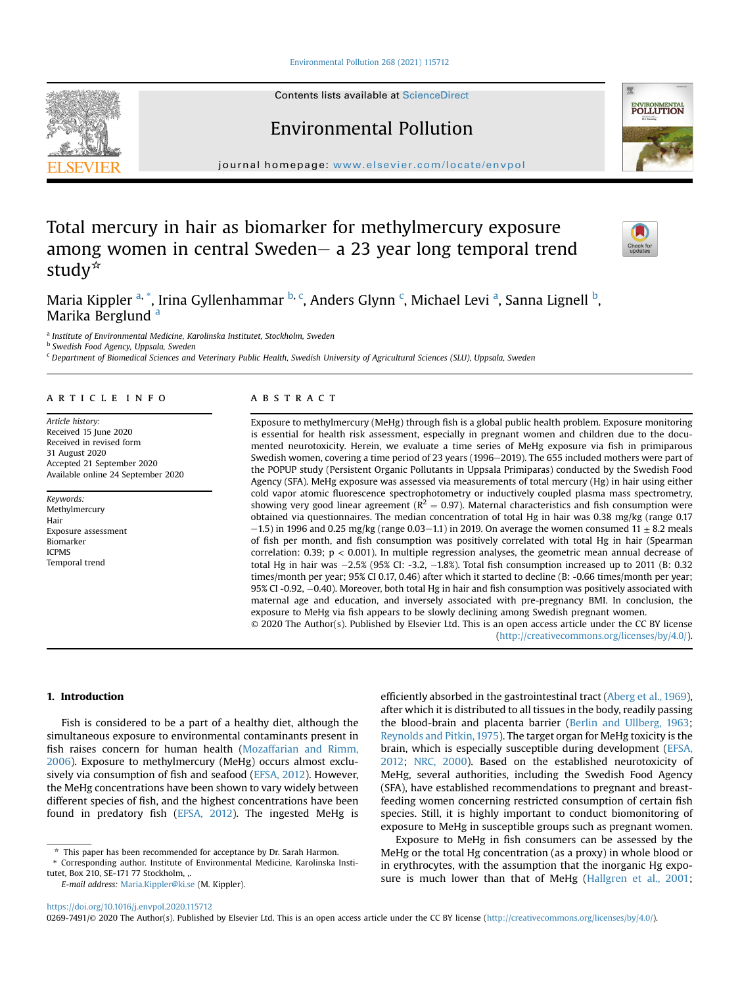[Environmental Pollution 268 \(2021\) 115712](https://doi.org/10.1016/j.envpol.2020.115712)

Contents lists available at ScienceDirect

# Environmental Pollution

journal homepage: [www.elsevier.com/locate/envpol](http://www.elsevier.com/locate/envpol)

# Total mercury in hair as biomarker for methylmercury exposure among women in central Sweden-  $a$  23 year long temporal trend study $*$

Maria Kippler <sup>[a,](#page-0-0) [\\*](#page-0-1)</sup>, Irina Gyllenhammar <sup>[b](#page-0-2), [c](#page-0-3)</sup>, Anders Glynn <sup>c</sup>, Mich[a](#page-0-0)el Levi <sup>a</sup>, Sanna Lignell <sup>b</sup>, M[a](#page-0-0)rika Berglund<sup>a</sup>

<span id="page-0-0"></span>a Institute of Environmental Medicine, Karolinska Institutet, Stockholm, Sweden

<span id="page-0-2"></span>**b** Swedish Food Agency, Uppsala, Sweden

<span id="page-0-3"></span><sup>c</sup> Department of Biomedical Sciences and Veterinary Public Health, Swedish University of Agricultural Sciences (SLU), Uppsala, Sweden

# article info

Article history: Received 15 June 2020 Received in revised form 31 August 2020 Accepted 21 September 2020 Available online 24 September 2020

Keywords: Methylmercury Hair Exposure assessment Biomarker ICPMS Temporal trend

# **ABSTRACT**

Exposure to methylmercury (MeHg) through fish is a global public health problem. Exposure monitoring is essential for health risk assessment, especially in pregnant women and children due to the documented neurotoxicity. Herein, we evaluate a time series of MeHg exposure via fish in primiparous Swedish women, covering a time period of 23 years (1996–2019). The 655 included mothers were part of the POPUP study (Persistent Organic Pollutants in Uppsala Primiparas) conducted by the Swedish Food Agency (SFA). MeHg exposure was assessed via measurements of total mercury (Hg) in hair using either cold vapor atomic fluorescence spectrophotometry or inductively coupled plasma mass spectrometry, showing very good linear agreement ( $R^2 = 0.97$ ). Maternal characteristics and fish consumption were obtained via questionnaires. The median concentration of total Hg in hair was 0.38 mg/kg (range 0.17  $-1.5$ ) in 1996 and 0.25 mg/kg (range 0.03–1.1) in 2019. On average the women consumed 11  $\pm$  8.2 meals of fish per month, and fish consumption was positively correlated with total Hg in hair (Spearman correlation: 0.39; p < 0.001). In multiple regression analyses, the geometric mean annual decrease of total Hg in hair was -2.5% (95% CI: -3.2, -1.8%). Total fish consumption increased up to 2011 (B: 0.32 times/month per year; 95% CI 0.17, 0.46) after which it started to decline (B: -0.66 times/month per year; 95% CI -0.92, -0.40). Moreover, both total Hg in hair and fish consumption was positively associated with maternal age and education, and inversely associated with pre-pregnancy BMI. In conclusion, the exposure to MeHg via fish appears to be slowly declining among Swedish pregnant women. © 2020 The Author(s). Published by Elsevier Ltd. This is an open access article under the CC BY license

[\(http://creativecommons.org/licenses/by/4.0/](http://creativecommons.org/licenses/by/4.0/)).

# 1. Introduction

Fish is considered to be a part of a healthy diet, although the simultaneous exposure to environmental contaminants present in fish raises concern for human health [\(Mozaffarian and Rimm,](#page-6-0) [2006\)](#page-6-0). Exposure to methylmercury (MeHg) occurs almost exclusively via consumption of fish and seafood [\(EFSA, 2012\)](#page-6-1). However, the MeHg concentrations have been shown to vary widely between different species of fish, and the highest concentrations have been found in predatory fish ([EFSA, 2012](#page-6-1)). The ingested MeHg is efficiently absorbed in the gastrointestinal tract [\(Aberg et al., 1969\)](#page-6-2), after which it is distributed to all tissues in the body, readily passing the blood-brain and placenta barrier ([Berlin and Ullberg, 1963;](#page-6-3) [Reynolds and Pitkin, 1975\)](#page-6-4). The target organ for MeHg toxicity is the brain, which is especially susceptible during development [\(EFSA,](#page-6-1) [2012;](#page-6-1) [NRC, 2000\)](#page-6-5). Based on the established neurotoxicity of MeHg, several authorities, including the Swedish Food Agency (SFA), have established recommendations to pregnant and breastfeeding women concerning restricted consumption of certain fish species. Still, it is highly important to conduct biomonitoring of exposure to MeHg in susceptible groups such as pregnant women.

Exposure to MeHg in fish consumers can be assessed by the MeHg or the total Hg concentration (as a proxy) in whole blood or in erythrocytes, with the assumption that the inorganic Hg exposure is much lower than that of MeHg ([Hallgren et al., 2001;](#page-6-6)

<https://doi.org/10.1016/j.envpol.2020.115712>

0269-7491/© 2020 The Author(s). Published by Elsevier Ltd. This is an open access article under the CC BY license ([http://creativecommons.org/licenses/by/4.0/\)](http://creativecommons.org/licenses/by/4.0/).







 $^{\star}\,$  This paper has been recommended for acceptance by Dr. Sarah Harmon.

<span id="page-0-1"></span><sup>\*</sup> Corresponding author. Institute of Environmental Medicine, Karolinska Institutet, Box 210, SE-171 77 Stockholm, ,.

E-mail address: [Maria.Kippler@ki.se](mailto:Maria.Kippler@ki.se) (M. Kippler).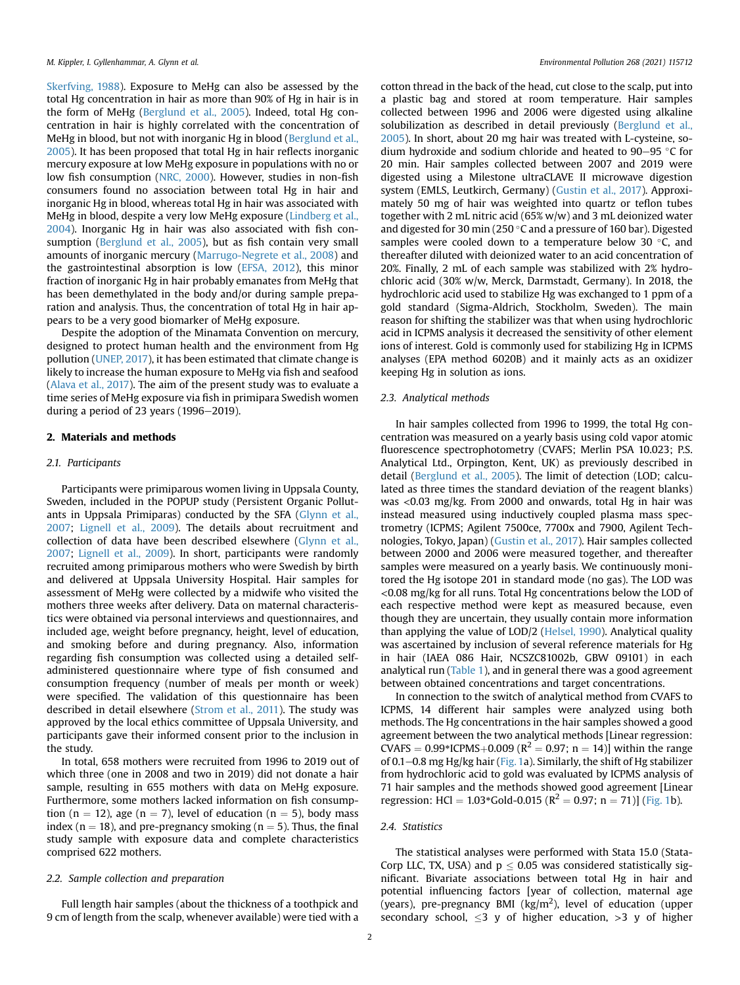[Skerfving, 1988](#page-7-0)). Exposure to MeHg can also be assessed by the total Hg concentration in hair as more than 90% of Hg in hair is in the form of MeHg [\(Berglund et al., 2005](#page-6-7)). Indeed, total Hg concentration in hair is highly correlated with the concentration of MeHg in blood, but not with inorganic Hg in blood [\(Berglund et al.,](#page-6-7) [2005\)](#page-6-7). It has been proposed that total Hg in hair reflects inorganic mercury exposure at low MeHg exposure in populations with no or low fish consumption [\(NRC, 2000\)](#page-6-5). However, studies in non-fish consumers found no association between total Hg in hair and inorganic Hg in blood, whereas total Hg in hair was associated with MeHg in blood, despite a very low MeHg exposure [\(Lindberg et al.,](#page-6-8) [2004\)](#page-6-8). Inorganic Hg in hair was also associated with fish consumption [\(Berglund et al., 2005\)](#page-6-7), but as fish contain very small amounts of inorganic mercury ([Marrugo-Negrete et al., 2008\)](#page-6-9) and the gastrointestinal absorption is low ([EFSA, 2012\)](#page-6-1), this minor fraction of inorganic Hg in hair probably emanates from MeHg that has been demethylated in the body and/or during sample preparation and analysis. Thus, the concentration of total Hg in hair appears to be a very good biomarker of MeHg exposure.

Despite the adoption of the Minamata Convention on mercury, designed to protect human health and the environment from Hg pollution ([UNEP, 2017](#page-7-1)), it has been estimated that climate change is likely to increase the human exposure to MeHg via fish and seafood ([Alava et al., 2017](#page-6-10)). The aim of the present study was to evaluate a time series of MeHg exposure via fish in primipara Swedish women during a period of 23 years ( $1996-2019$ ).

# 2. Materials and methods

# 2.1. Participants

Participants were primiparous women living in Uppsala County, Sweden, included in the POPUP study (Persistent Organic Pollutants in Uppsala Primiparas) conducted by the SFA [\(Glynn et al.,](#page-6-11) [2007;](#page-6-11) [Lignell et al., 2009\)](#page-6-12). The details about recruitment and collection of data have been described elsewhere [\(Glynn et al.,](#page-6-11) [2007;](#page-6-11) [Lignell et al., 2009](#page-6-12)). In short, participants were randomly recruited among primiparous mothers who were Swedish by birth and delivered at Uppsala University Hospital. Hair samples for assessment of MeHg were collected by a midwife who visited the mothers three weeks after delivery. Data on maternal characteristics were obtained via personal interviews and questionnaires, and included age, weight before pregnancy, height, level of education, and smoking before and during pregnancy. Also, information regarding fish consumption was collected using a detailed selfadministered questionnaire where type of fish consumed and consumption frequency (number of meals per month or week) were specified. The validation of this questionnaire has been described in detail elsewhere ([Strom et al., 2011\)](#page-7-2). The study was approved by the local ethics committee of Uppsala University, and participants gave their informed consent prior to the inclusion in the study.

In total, 658 mothers were recruited from 1996 to 2019 out of which three (one in 2008 and two in 2019) did not donate a hair sample, resulting in 655 mothers with data on MeHg exposure. Furthermore, some mothers lacked information on fish consumption (n = 12), age (n = 7), level of education (n = 5), body mass index ( $n = 18$ ), and pre-pregnancy smoking ( $n = 5$ ). Thus, the final study sample with exposure data and complete characteristics comprised 622 mothers.

# 2.2. Sample collection and preparation

Full length hair samples (about the thickness of a toothpick and 9 cm of length from the scalp, whenever available) were tied with a cotton thread in the back of the head, cut close to the scalp, put into a plastic bag and stored at room temperature. Hair samples collected between 1996 and 2006 were digested using alkaline solubilization as described in detail previously [\(Berglund et al.,](#page-6-7) [2005\)](#page-6-7). In short, about 20 mg hair was treated with L-cysteine, sodium hydroxide and sodium chloride and heated to  $90-95$  °C for 20 min. Hair samples collected between 2007 and 2019 were digested using a Milestone ultraCLAVE II microwave digestion system (EMLS, Leutkirch, Germany) ([Gustin et al., 2017\)](#page-6-13). Approximately 50 mg of hair was weighted into quartz or teflon tubes together with 2 mL nitric acid (65% w/w) and 3 mL deionized water and digested for 30 min (250 $\degree$ C and a pressure of 160 bar). Digested samples were cooled down to a temperature below 30 $\degree$ C, and thereafter diluted with deionized water to an acid concentration of 20%. Finally, 2 mL of each sample was stabilized with 2% hydrochloric acid (30% w/w, Merck, Darmstadt, Germany). In 2018, the hydrochloric acid used to stabilize Hg was exchanged to 1 ppm of a gold standard (Sigma-Aldrich, Stockholm, Sweden). The main reason for shifting the stabilizer was that when using hydrochloric acid in ICPMS analysis it decreased the sensitivity of other element ions of interest. Gold is commonly used for stabilizing Hg in ICPMS analyses (EPA method 6020B) and it mainly acts as an oxidizer keeping Hg in solution as ions.

# 2.3. Analytical methods

In hair samples collected from 1996 to 1999, the total Hg concentration was measured on a yearly basis using cold vapor atomic fluorescence spectrophotometry (CVAFS; Merlin PSA 10.023; P.S. Analytical Ltd., Orpington, Kent, UK) as previously described in detail [\(Berglund et al., 2005\)](#page-6-7). The limit of detection (LOD; calculated as three times the standard deviation of the reagent blanks) was <0.03 mg/kg. From 2000 and onwards, total Hg in hair was instead measured using inductively coupled plasma mass spectrometry (ICPMS; Agilent 7500ce, 7700x and 7900, Agilent Technologies, Tokyo, Japan) [\(Gustin et al., 2017](#page-6-13)). Hair samples collected between 2000 and 2006 were measured together, and thereafter samples were measured on a yearly basis. We continuously monitored the Hg isotope 201 in standard mode (no gas). The LOD was <0.08 mg/kg for all runs. Total Hg concentrations below the LOD of each respective method were kept as measured because, even though they are uncertain, they usually contain more information than applying the value of LOD/2 [\(Helsel, 1990\)](#page-6-14). Analytical quality was ascertained by inclusion of several reference materials for Hg in hair (IAEA 086 Hair, NCSZC81002b, GBW 09101) in each analytical run [\(Table 1\)](#page-2-0), and in general there was a good agreement between obtained concentrations and target concentrations.

In connection to the switch of analytical method from CVAFS to ICPMS, 14 different hair samples were analyzed using both methods. The Hg concentrations in the hair samples showed a good agreement between the two analytical methods [Linear regression: CVAFS =  $0.99*$ ICPMS+0.009 (R<sup>2</sup> = 0.97; n = 14)] within the range of 0.1-0.8 mg Hg/kg hair ([Fig. 1a](#page-2-1)). Similarly, the shift of Hg stabilizer from hydrochloric acid to gold was evaluated by ICPMS analysis of 71 hair samples and the methods showed good agreement [Linear regression: HCl = 1.03\*Gold-0.015 ( $R^2 = 0.97$ ; n = 71)] [\(Fig. 1b](#page-2-1)).

#### 2.4. Statistics

The statistical analyses were performed with Stata 15.0 (Stata-Corp LLC, TX, USA) and  $p \le 0.05$  was considered statistically significant. Bivariate associations between total Hg in hair and potential influencing factors [year of collection, maternal age (years), pre-pregnancy BMI ( $\text{kg/m}^2$ ), level of education (upper secondary school,  $\leq$ 3 y of higher education,  $>$ 3 y of higher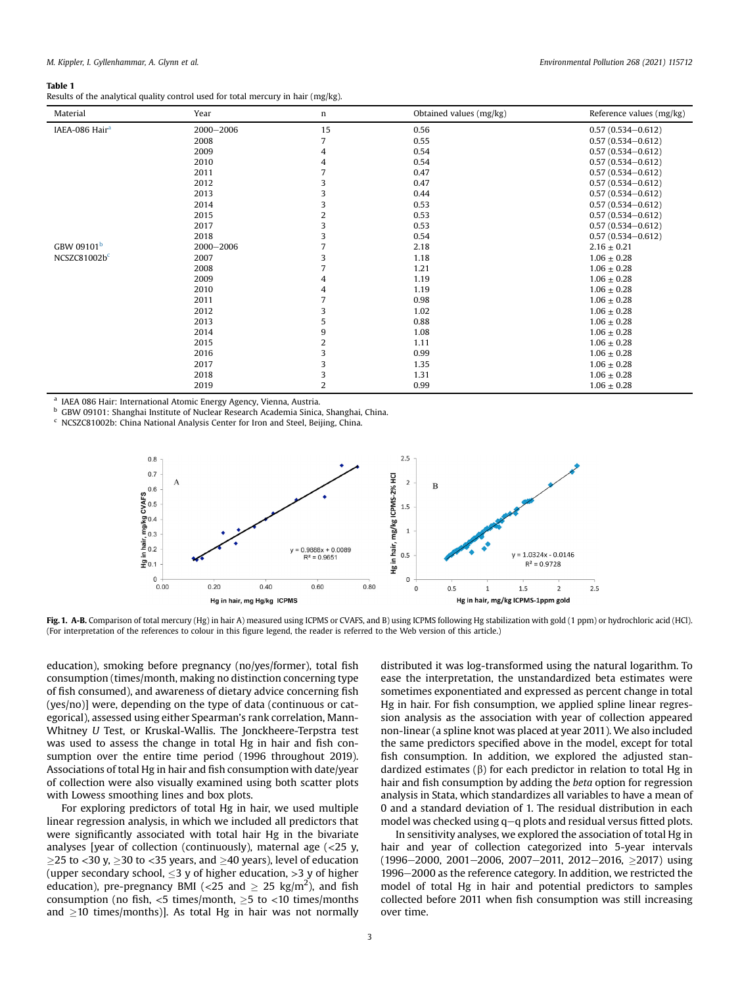## <span id="page-2-0"></span>Table 1

Results of the analytical quality control used for total mercury in hair (mg/kg).

| Material                   | Year      | n  | Obtained values (mg/kg) | Reference values (mg/kg) |
|----------------------------|-----------|----|-------------------------|--------------------------|
| IAEA-086 Hair <sup>a</sup> | 2000-2006 | 15 | 0.56                    | $0.57(0.534 - 0.612)$    |
|                            | 2008      |    | 0.55                    | $0.57(0.534 - 0.612)$    |
|                            | 2009      | 4  | 0.54                    | $0.57(0.534 - 0.612)$    |
|                            | 2010      | 4  | 0.54                    | $0.57(0.534 - 0.612)$    |
|                            | 2011      |    | 0.47                    | $0.57(0.534 - 0.612)$    |
|                            | 2012      | 3  | 0.47                    | $0.57(0.534 - 0.612)$    |
|                            | 2013      | 3  | 0.44                    | $0.57(0.534 - 0.612)$    |
|                            | 2014      | 3  | 0.53                    | $0.57(0.534 - 0.612)$    |
|                            | 2015      | 2  | 0.53                    | $0.57(0.534 - 0.612)$    |
|                            | 2017      | 3  | 0.53                    | $0.57(0.534 - 0.612)$    |
|                            | 2018      | 3  | 0.54                    | $0.57(0.534 - 0.612)$    |
| GBW 09101 <sup>b</sup>     | 2000-2006 | 7  | 2.18                    | $2.16 \pm 0.21$          |
| NCSZC81002bc               | 2007      | 3  | 1.18                    | $1.06 \pm 0.28$          |
|                            | 2008      |    | 1.21                    | $1.06 \pm 0.28$          |
|                            | 2009      | 4  | 1.19                    | $1.06 \pm 0.28$          |
|                            | 2010      | 4  | 1.19                    | $1.06 \pm 0.28$          |
|                            | 2011      |    | 0.98                    | $1.06 \pm 0.28$          |
|                            | 2012      | 3  | 1.02                    | $1.06 \pm 0.28$          |
|                            | 2013      | 5  | 0.88                    | $1.06 \pm 0.28$          |
|                            | 2014      | 9  | 1.08                    | $1.06 \pm 0.28$          |
|                            | 2015      | 2  | 1.11                    | $1.06 \pm 0.28$          |
|                            | 2016      | 3  | 0.99                    | $1.06 \pm 0.28$          |
|                            | 2017      | 3  | 1.35                    | $1.06 \pm 0.28$          |
|                            | 2018      | 3  | 1.31                    | $1.06 \pm 0.28$          |
|                            | 2019      | 2  | 0.99                    | $1.06 \pm 0.28$          |

<span id="page-2-2"></span>IAEA 086 Hair: International Atomic Energy Agency, Vienna, Austria.

<span id="page-2-3"></span><sup>b</sup> GBW 09101: Shanghai Institute of Nuclear Research Academia Sinica, Shanghai, China.

<span id="page-2-4"></span><span id="page-2-1"></span><sup>c</sup> NCSZC81002b: China National Analysis Center for Iron and Steel, Beijing, China.



Fig. 1. A-B. Comparison of total mercury (Hg) in hair A) measured using ICPMS or CVAFS, and B) using ICPMS following Hg stabilization with gold (1 ppm) or hydrochloric acid (HCl). (For interpretation of the references to colour in this figure legend, the reader is referred to the Web version of this article.)

education), smoking before pregnancy (no/yes/former), total fish consumption (times/month, making no distinction concerning type of fish consumed), and awareness of dietary advice concerning fish (yes/no)] were, depending on the type of data (continuous or categorical), assessed using either Spearman's rank correlation, Mann-Whitney U Test, or Kruskal-Wallis. The Jonckheere-Terpstra test was used to assess the change in total Hg in hair and fish consumption over the entire time period (1996 throughout 2019). Associations of total Hg in hair and fish consumption with date/year of collection were also visually examined using both scatter plots with Lowess smoothing lines and box plots.

For exploring predictors of total Hg in hair, we used multiple linear regression analysis, in which we included all predictors that were significantly associated with total hair Hg in the bivariate analyses [year of collection (continuously), maternal age  $\langle$  <25 y,  $\geq$ 25 to <30 y,  $\geq$ 30 to <35 years, and  $\geq$ 40 years), level of education (upper secondary school,  $\leq$ 3 y of higher education,  $>$ 3 y of higher education), pre-pregnancy BMI (<25 and  $\geq 25$  kg/m<sup>2</sup>), and fish consumption (no fish,  $<$ 5 times/month,  $\ge$ 5 to  $<$ 10 times/months and  $>$ 10 times/months)]. As total Hg in hair was not normally

distributed it was log-transformed using the natural logarithm. To ease the interpretation, the unstandardized beta estimates were sometimes exponentiated and expressed as percent change in total Hg in hair. For fish consumption, we applied spline linear regression analysis as the association with year of collection appeared non-linear (a spline knot was placed at year 2011). We also included the same predictors specified above in the model, except for total fish consumption. In addition, we explored the adjusted standardized estimates ( $\beta$ ) for each predictor in relation to total Hg in hair and fish consumption by adding the beta option for regression analysis in Stata, which standardizes all variables to have a mean of 0 and a standard deviation of 1. The residual distribution in each model was checked using  $q-q$  plots and residual versus fitted plots.

In sensitivity analyses, we explored the association of total Hg in hair and year of collection categorized into 5-year intervals  $(1996-2000, 2001-2006, 2007-2011, 2012-2016, >2017)$  using 1996–2000 as the reference category. In addition, we restricted the model of total Hg in hair and potential predictors to samples collected before 2011 when fish consumption was still increasing over time.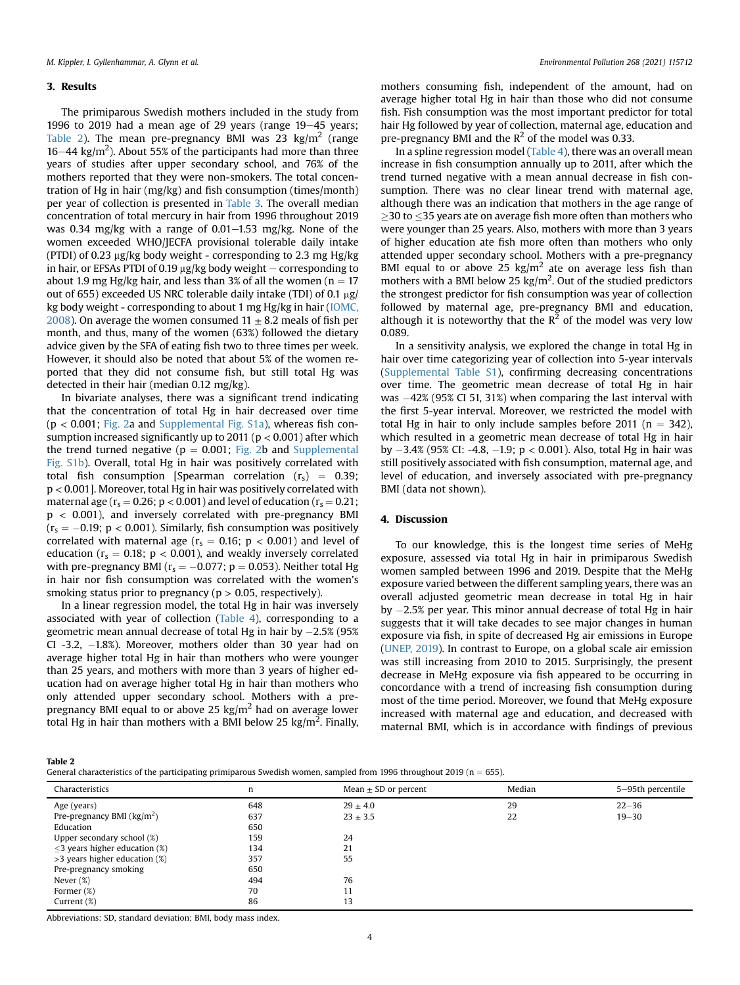### 3. Results

The primiparous Swedish mothers included in the study from 1996 to 2019 had a mean age of 29 years (range  $19-45$  years; [Table 2](#page-3-0)). The mean pre-pregnancy BMI was 23  $\text{kg/m}^2$  (range  $16-44$  kg/m<sup>2</sup>). About 55% of the participants had more than three years of studies after upper secondary school, and 76% of the mothers reported that they were non-smokers. The total concentration of Hg in hair (mg/kg) and fish consumption (times/month) per year of collection is presented in [Table 3.](#page-4-0) The overall median concentration of total mercury in hair from 1996 throughout 2019 was 0.34 mg/kg with a range of  $0.01-1.53$  mg/kg. None of the women exceeded WHO/JECFA provisional tolerable daily intake (PTDI) of 0.23  $\mu$ g/kg body weight - corresponding to 2.3 mg Hg/kg in hair, or EFSAs PTDI of 0.19  $\mu$ g/kg body weight – corresponding to about 1.9 mg Hg/kg hair, and less than 3% of all the women ( $n = 17$ ) out of 655) exceeded US NRC tolerable daily intake (TDI) of 0.1  $\mu$ g/ kg body weight - corresponding to about 1 mg Hg/kg in hair ([IOMC,](#page-6-15) [2008\)](#page-6-15). On average the women consumed  $11 \pm 8.2$  meals of fish per month, and thus, many of the women (63%) followed the dietary advice given by the SFA of eating fish two to three times per week. However, it should also be noted that about 5% of the women reported that they did not consume fish, but still total Hg was detected in their hair (median 0.12 mg/kg).

In bivariate analyses, there was a significant trend indicating that the concentration of total Hg in hair decreased over time (p < 0.001; [Fig. 2](#page-4-1)a and Supplemental Fig. S1a), whereas fish consumption increased significantly up to 2011 ( $p < 0.001$ ) after which the trend turned negative ( $p = 0.001$ ; [Fig. 2b](#page-4-1) and Supplemental Fig. S1b). Overall, total Hg in hair was positively correlated with total fish consumption [Spearman correlation  $(r_s) = 0.39$ ; p < 0.001]. Moreover, total Hg in hair was positively correlated with maternal age ( $r_s = 0.26$ ; p < 0.001) and level of education ( $r_s = 0.21$ ; p < 0.001), and inversely correlated with pre-pregnancy BMI  $(r_s = -0.19; p < 0.001)$ . Similarly, fish consumption was positively correlated with maternal age ( $r_s = 0.16$ ;  $p < 0.001$ ) and level of education ( $r_s = 0.18$ ;  $p < 0.001$ ), and weakly inversely correlated with pre-pregnancy BMI ( $r_s = -0.077$ ; p = 0.053). Neither total Hg in hair nor fish consumption was correlated with the women's smoking status prior to pregnancy ( $p > 0.05$ , respectively).

In a linear regression model, the total Hg in hair was inversely associated with year of collection ([Table 4](#page-5-0)), corresponding to a geometric mean annual decrease of total Hg in hair by  $-2.5\%$  (95 $\%$ CI -3.2, -1.8%). Moreover, mothers older than 30 year had on average higher total Hg in hair than mothers who were younger than 25 years, and mothers with more than 3 years of higher education had on average higher total Hg in hair than mothers who only attended upper secondary school. Mothers with a prepregnancy BMI equal to or above 25  $\text{kg/m}^2$  had on average lower total Hg in hair than mothers with a BMI below 25 kg/m<sup>2</sup>. Finally,

mothers consuming fish, independent of the amount, had on average higher total Hg in hair than those who did not consume fish. Fish consumption was the most important predictor for total hair Hg followed by year of collection, maternal age, education and pre-pregnancy BMI and the  $R^2$  of the model was 0.33.

In a spline regression model [\(Table 4\)](#page-5-0), there was an overall mean increase in fish consumption annually up to 2011, after which the trend turned negative with a mean annual decrease in fish consumption. There was no clear linear trend with maternal age, although there was an indication that mothers in the age range of  $>$ 30 to  $<$ 35 years ate on average fish more often than mothers who were younger than 25 years. Also, mothers with more than 3 years of higher education ate fish more often than mothers who only attended upper secondary school. Mothers with a pre-pregnancy BMI equal to or above 25 kg/ $m<sup>2</sup>$  ate on average less fish than mothers with a BMI below 25  $\text{kg/m}^2$ . Out of the studied predictors the strongest predictor for fish consumption was year of collection followed by maternal age, pre-pregnancy BMI and education, although it is noteworthy that the  $R^2$  of the model was very low 0.089.

In a sensitivity analysis, we explored the change in total Hg in hair over time categorizing year of collection into 5-year intervals (Supplemental Table S1), confirming decreasing concentrations over time. The geometric mean decrease of total Hg in hair was  $-42\%$  (95% CI 51, 31%) when comparing the last interval with the first 5-year interval. Moreover, we restricted the model with total Hg in hair to only include samples before 2011 ( $n = 342$ ), which resulted in a geometric mean decrease of total Hg in hair by -3.4% (95% CI: -4.8, -1.9; p < 0.001). Also, total Hg in hair was still positively associated with fish consumption, maternal age, and level of education, and inversely associated with pre-pregnancy BMI (data not shown).

# 4. Discussion

To our knowledge, this is the longest time series of MeHg exposure, assessed via total Hg in hair in primiparous Swedish women sampled between 1996 and 2019. Despite that the MeHg exposure varied between the different sampling years, there was an overall adjusted geometric mean decrease in total Hg in hair by -2.5% per year. This minor annual decrease of total Hg in hair suggests that it will take decades to see major changes in human exposure via fish, in spite of decreased Hg air emissions in Europe ([UNEP, 2019\)](#page-7-3). In contrast to Europe, on a global scale air emission was still increasing from 2010 to 2015. Surprisingly, the present decrease in MeHg exposure via fish appeared to be occurring in concordance with a trend of increasing fish consumption during most of the time period. Moreover, we found that MeHg exposure increased with maternal age and education, and decreased with maternal BMI, which is in accordance with findings of previous

<span id="page-3-0"></span>Table 2

General characteristics of the participating primiparous Swedish women, sampled from 1996 throughout 2019 ( $n = 655$ ).

| Characteristics                     | n   | Mean $\pm$ SD or percent | Median | 5–95th percentile |
|-------------------------------------|-----|--------------------------|--------|-------------------|
| Age (years)                         | 648 | $29 \pm 4.0$             | 29     | $22 - 36$         |
| Pre-pregnancy BMI $\frac{kg}{m^2}$  | 637 | $23 \pm 3.5$             | 22     | $19 - 30$         |
| Education                           | 650 |                          |        |                   |
| Upper secondary school (%)          | 159 | 24                       |        |                   |
| $\leq$ 3 years higher education (%) | 134 | 21                       |        |                   |
| >3 years higher education (%)       | 357 | 55                       |        |                   |
| Pre-pregnancy smoking               | 650 |                          |        |                   |
| Never $(\%)$                        | 494 | 76                       |        |                   |
| Former (%)                          | 70  | 11                       |        |                   |
| Current (%)                         | 86  | 13                       |        |                   |

Abbreviations: SD, standard deviation; BMI, body mass index.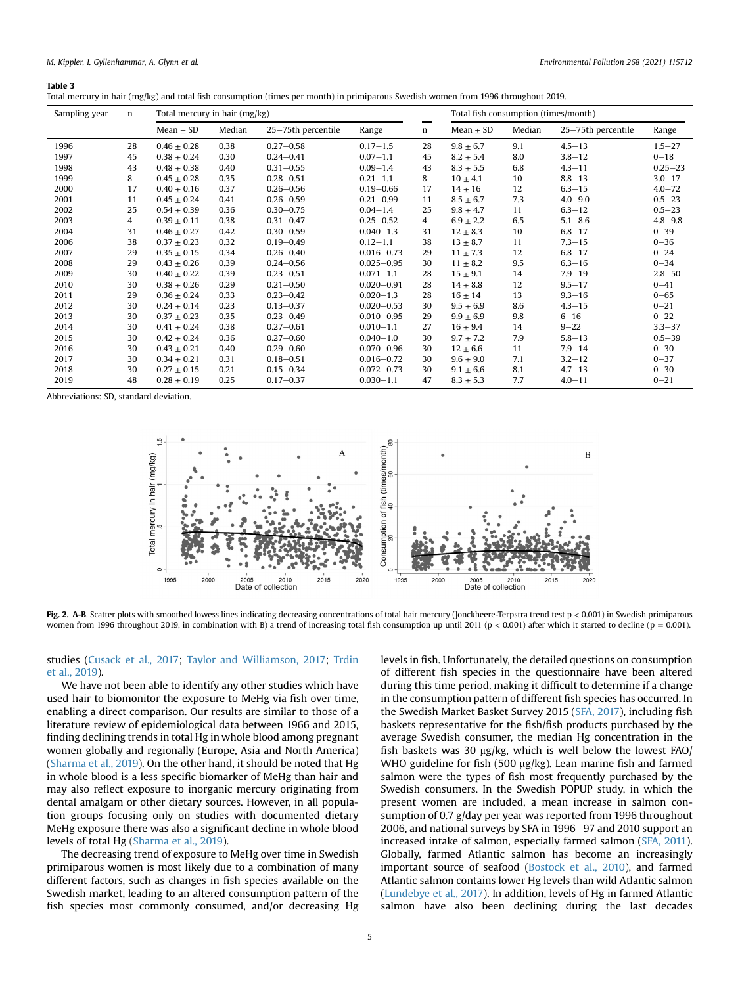# <span id="page-4-0"></span>Table 3

|  | Total mercury in hair (mg/kg) and total fish consumption (times per month) in primiparous Swedish women from 1996 throughout 2019. |  |
|--|------------------------------------------------------------------------------------------------------------------------------------|--|
|--|------------------------------------------------------------------------------------------------------------------------------------|--|

| Sampling year | $\mathbf n$ | Total mercury in hair (mg/kg) |        |                    |                |    | Total fish consumption (times/month) |        |                    |             |
|---------------|-------------|-------------------------------|--------|--------------------|----------------|----|--------------------------------------|--------|--------------------|-------------|
|               |             | Mean $\pm$ SD                 | Median | 25-75th percentile | Range          | n  | Mean $\pm$ SD                        | Median | 25-75th percentile | Range       |
| 1996          | 28          | $0.46 \pm 0.28$               | 0.38   | $0.27 - 0.58$      | $0.17 - 1.5$   | 28 | $9.8 \pm 6.7$                        | 9.1    | $4.5 - 13$         | $1.5 - 27$  |
| 1997          | 45          | $0.38 \pm 0.24$               | 0.30   | $0.24 - 0.41$      | $0.07 - 1.1$   | 45 | $8.2 \pm 5.4$                        | 8.0    | $3.8 - 12$         | $0 - 18$    |
| 1998          | 43          | $0.48 \pm 0.38$               | 0.40   | $0.31 - 0.55$      | $0.09 - 1.4$   | 43 | $8.3 \pm 5.5$                        | 6.8    | $4.3 - 11$         | $0.25 - 23$ |
| 1999          | 8           | $0.45 \pm 0.28$               | 0.35   | $0.28 - 0.51$      | $0.21 - 1.1$   | 8  | $10 \pm 4.1$                         | 10     | $8.8 - 13$         | $3.0 - 17$  |
| 2000          | 17          | $0.40 \pm 0.16$               | 0.37   | $0.26 - 0.56$      | $0.19 - 0.66$  | 17 | $14 \pm 16$                          | 12     | $6.3 - 15$         | $4.0 - 72$  |
| 2001          | 11          | $0.45 \pm 0.24$               | 0.41   | $0.26 - 0.59$      | $0.21 - 0.99$  | 11 | $8.5 \pm 6.7$                        | 7.3    | $4.0 - 9.0$        | $0.5 - 23$  |
| 2002          | 25          | $0.54 \pm 0.39$               | 0.36   | $0.30 - 0.75$      | $0.04 - 1.4$   | 25 | $9.8 \pm 4.7$                        | 11     | $6.3 - 12$         | $0.5 - 23$  |
| 2003          | 4           | $0.39 \pm 0.11$               | 0.38   | $0.31 - 0.47$      | $0.25 - 0.52$  | 4  | $6.9 \pm 2.2$                        | 6.5    | $5.1 - 8.6$        | $4.8 - 9.8$ |
| 2004          | 31          | $0.46 \pm 0.27$               | 0.42   | $0.30 - 0.59$      | $0.040 - 1.3$  | 31 | $12 \pm 8.3$                         | 10     | $6.8 - 17$         | $0 - 39$    |
| 2006          | 38          | $0.37 \pm 0.23$               | 0.32   | $0.19 - 0.49$      | $0.12 - 1.1$   | 38 | $13 \pm 8.7$                         | 11     | $7.3 - 15$         | $0 - 36$    |
| 2007          | 29          | $0.35 \pm 0.15$               | 0.34   | $0.26 - 0.40$      | $0.016 - 0.73$ | 29 | $11 \pm 7.3$                         | 12     | $6.8 - 17$         | $0 - 24$    |
| 2008          | 29          | $0.43 \pm 0.26$               | 0.39   | $0.24 - 0.56$      | $0.025 - 0.95$ | 30 | $11 \pm 8.2$                         | 9.5    | $6.3 - 16$         | $0 - 34$    |
| 2009          | 30          | $0.40 \pm 0.22$               | 0.39   | $0.23 - 0.51$      | $0.071 - 1.1$  | 28 | $15 \pm 9.1$                         | 14     | $7.9 - 19$         | $2.8 - 50$  |
| 2010          | 30          | $0.38 \pm 0.26$               | 0.29   | $0.21 - 0.50$      | $0.020 - 0.91$ | 28 | $14 \pm 8.8$                         | 12     | $9.5 - 17$         | $0 - 41$    |
| 2011          | 29          | $0.36 \pm 0.24$               | 0.33   | $0.23 - 0.42$      | $0.020 - 1.3$  | 28 | $16 \pm 14$                          | 13     | $9.3 - 16$         | $0 - 65$    |
| 2012          | 30          | $0.24 \pm 0.14$               | 0.23   | $0.13 - 0.37$      | $0.020 - 0.53$ | 30 | $9.5 \pm 6.9$                        | 8.6    | $4.3 - 15$         | $0 - 21$    |
| 2013          | 30          | $0.37 \pm 0.23$               | 0.35   | $0.23 - 0.49$      | $0.010 - 0.95$ | 29 | $9.9 \pm 6.9$                        | 9.8    | $6 - 16$           | $0 - 22$    |
| 2014          | 30          | $0.41 \pm 0.24$               | 0.38   | $0.27 - 0.61$      | $0.010 - 1.1$  | 27 | $16 \pm 9.4$                         | 14     | $9 - 22$           | $3.3 - 37$  |
| 2015          | 30          | $0.42 \pm 0.24$               | 0.36   | $0.27 - 0.60$      | $0.040 - 1.0$  | 30 | $9.7 \pm 7.2$                        | 7.9    | $5.8 - 13$         | $0.5 - 39$  |
| 2016          | 30          | $0.43 \pm 0.21$               | 0.40   | $0.29 - 0.60$      | $0.070 - 0.96$ | 30 | $12 \pm 6.6$                         | 11     | $7.9 - 14$         | $0 - 30$    |
| 2017          | 30          | $0.34 \pm 0.21$               | 0.31   | $0.18 - 0.51$      | $0.016 - 0.72$ | 30 | $9.6 \pm 9.0$                        | 7.1    | $3.2 - 12$         | $0 - 37$    |
| 2018          | 30          | $0.27 \pm 0.15$               | 0.21   | $0.15 - 0.34$      | $0.072 - 0.73$ | 30 | $9.1 \pm 6.6$                        | 8.1    | $4.7 - 13$         | $0 - 30$    |
| 2019          | 48          | $0.28 \pm 0.19$               | 0.25   | $0.17 - 0.37$      | $0.030 - 1.1$  | 47 | $8.3 \pm 5.3$                        | 7.7    | $4.0 - 11$         | $0 - 21$    |

<span id="page-4-1"></span>Abbreviations: SD, standard deviation.



Fig. 2. A-B. Scatter plots with smoothed lowess lines indicating decreasing concentrations of total hair mercury (Jonckheere-Terpstra trend test  $p < 0.001$ ) in Swedish primiparous women from 1996 throughout 2019, in combination with B) a trend of increasing total fish consumption up until 2011 (p < 0.001) after which it started to decline (p = 0.001).

# studies [\(Cusack et al., 2017](#page-6-16); [Taylor and Williamson, 2017](#page-7-4); [Trdin](#page-7-5) [et al., 2019\)](#page-7-5).

We have not been able to identify any other studies which have used hair to biomonitor the exposure to MeHg via fish over time, enabling a direct comparison. Our results are similar to those of a literature review of epidemiological data between 1966 and 2015, finding declining trends in total Hg in whole blood among pregnant women globally and regionally (Europe, Asia and North America) ([Sharma et al., 2019](#page-7-6)). On the other hand, it should be noted that Hg in whole blood is a less specific biomarker of MeHg than hair and may also reflect exposure to inorganic mercury originating from dental amalgam or other dietary sources. However, in all population groups focusing only on studies with documented dietary MeHg exposure there was also a significant decline in whole blood levels of total Hg [\(Sharma et al., 2019](#page-7-6)).

The decreasing trend of exposure to MeHg over time in Swedish primiparous women is most likely due to a combination of many different factors, such as changes in fish species available on the Swedish market, leading to an altered consumption pattern of the fish species most commonly consumed, and/or decreasing Hg levels in fish. Unfortunately, the detailed questions on consumption of different fish species in the questionnaire have been altered during this time period, making it difficult to determine if a change in the consumption pattern of different fish species has occurred. In the Swedish Market Basket Survey 2015 [\(SFA, 2017\)](#page-7-7), including fish baskets representative for the fish/fish products purchased by the average Swedish consumer, the median Hg concentration in the fish baskets was 30  $\mu$ g/kg, which is well below the lowest FAO/ WHO guideline for fish (500  $\mu$ g/kg). Lean marine fish and farmed salmon were the types of fish most frequently purchased by the Swedish consumers. In the Swedish POPUP study, in which the present women are included, a mean increase in salmon consumption of 0.7 g/day per year was reported from 1996 throughout 2006, and national surveys by SFA in 1996-97 and 2010 support an increased intake of salmon, especially farmed salmon ([SFA, 2011\)](#page-7-8). Globally, farmed Atlantic salmon has become an increasingly important source of seafood ([Bostock et al., 2010](#page-6-17)), and farmed Atlantic salmon contains lower Hg levels than wild Atlantic salmon ([Lundebye et al., 2017](#page-6-18)). In addition, levels of Hg in farmed Atlantic salmon have also been declining during the last decades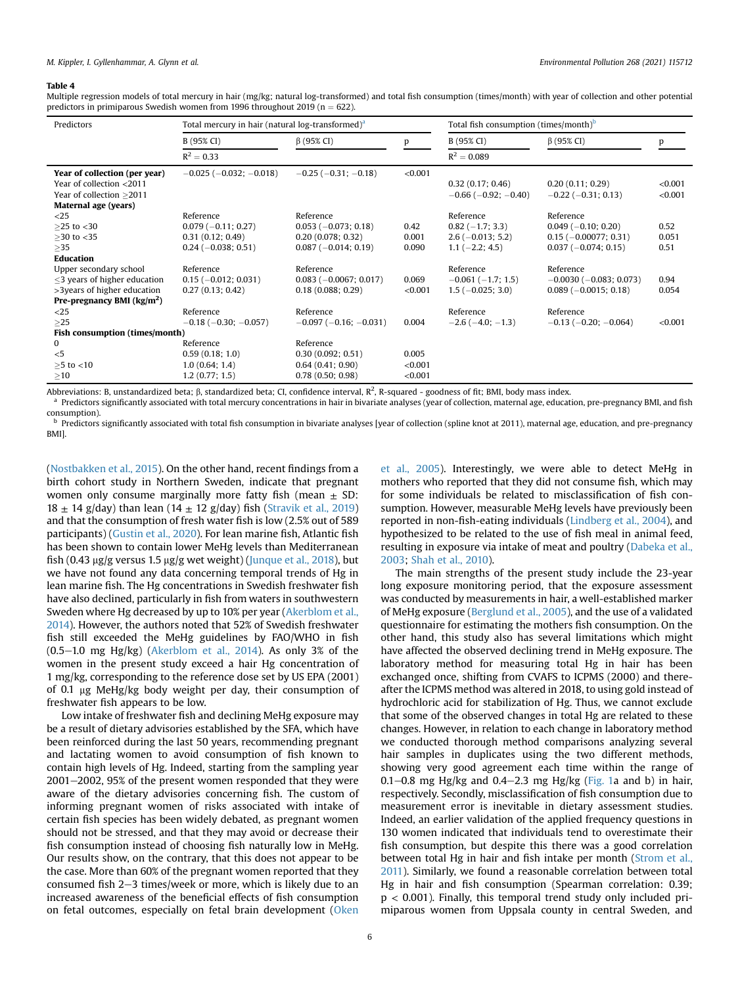## <span id="page-5-0"></span>Table 4

Multiple regression models of total mercury in hair (mg/kg; natural log-transformed) and total fish consumption (times/month) with year of collection and other potential predictors in primiparous Swedish women from 1996 throughout 2019 ( $n = 622$ ).

| Predictors                                                                                                                                     | Total mercury in hair (natural log-transformed) <sup>a</sup>                   |                                                                                  |                             | Total fish consumption (times/month) <sup>b</sup>                        |                                                                                       |                       |  |
|------------------------------------------------------------------------------------------------------------------------------------------------|--------------------------------------------------------------------------------|----------------------------------------------------------------------------------|-----------------------------|--------------------------------------------------------------------------|---------------------------------------------------------------------------------------|-----------------------|--|
|                                                                                                                                                | B (95% CI)                                                                     | $\beta$ (95% CI)                                                                 | p                           | B (95% CI)                                                               | $\beta$ (95% CI)                                                                      | p                     |  |
|                                                                                                                                                | $R^2 = 0.33$                                                                   |                                                                                  |                             | $R^2 = 0.089$                                                            |                                                                                       |                       |  |
| Year of collection (per year)<br>Year of collection <2011<br>Year of collection >2011<br>Maternal age (years)                                  | $-0.025$ ( $-0.032$ ; $-0.018$ )                                               | $-0.25$ ( $-0.31$ ; $-0.18$ )                                                    | < 0.001                     | 0.32(0.17; 0.46)<br>$-0.66$ ( $-0.92$ ; $-0.40$ )                        | 0.20(0.11; 0.29)<br>$-0.22$ ( $-0.31$ ; 0.13)                                         | < 0.001<br>< 0.001    |  |
| $<$ 25<br>$>25$ to $<$ 30<br>$>30$ to $<$ 35<br>>35                                                                                            | Reference<br>$0.079(-0.11; 0.27)$<br>0.31(0.12; 0.49)<br>$0.24 (-0.038; 0.51)$ | Reference<br>$0.053(-0.073; 0.18)$<br>0.20(0.078; 0.32)<br>$0.087(-0.014; 0.19)$ | 0.42<br>0.001<br>0.090      | Reference<br>$0.82(-1.7; 3.3)$<br>$2.6(-0.013; 5.2)$<br>$1.1(-2.2; 4.5)$ | Reference<br>$0.049(-0.10; 0.20)$<br>$0.15$ (-0.00077; 0.31)<br>$0.037(-0.074; 0.15)$ | 0.52<br>0.051<br>0.51 |  |
| Education<br>Upper secondary school<br>$\leq$ 3 years of higher education<br>>3years of higher education<br>Pre-pregnancy BMI $\frac{kg}{m^2}$ | Reference<br>$0.15 (-0.012; 0.031)$<br>0.27(0.13; 0.42)                        | Reference<br>$0.083 (-0.0067; 0.017)$<br>0.18(0.088; 0.29)                       | 0.069<br>< 0.001            | Reference<br>$-0.061(-1.7; 1.5)$<br>$1.5(-0.025; 3.0)$                   | Reference<br>$-0.0030$ ( $-0.083$ ; 0.073)<br>$0.089(-0.0015; 0.18)$                  | 0.94<br>0.054         |  |
| $<$ 25<br>>25<br>Fish consumption (times/month)                                                                                                | Reference<br>$-0.18$ ( $-0.30$ ; $-0.057$ )                                    | Reference<br>$-0.097(-0.16; -0.031)$                                             | 0.004                       | Reference<br>$-2.6(-4.0; -1.3)$                                          | Reference<br>$-0.13$ ( $-0.20$ ; $-0.064$ )                                           | < 0.001               |  |
| $\mathbf{0}$<br>$<$ 5<br>$\geq$ 5 to <10<br>>10                                                                                                | Reference<br>0.59(0.18; 1.0)<br>1.0(0.64; 1.4)<br>1.2(0.77; 1.5)               | Reference<br>0.30(0.092; 0.51)<br>0.64(0.41; 0.90)<br>0.78(0.50; 0.98)           | 0.005<br>< 0.001<br>< 0.001 |                                                                          |                                                                                       |                       |  |

Abbreviations: B, unstandardized beta;  $\beta$ , standardized beta; CI, confidence interval, R<sup>2</sup>, R-squared - goodness of fit; BMI, body mass index.

<span id="page-5-1"></span>a Predictors significantly associated with total mercury concentrations in hair in bivariate analyses (year of collection, maternal age, education, pre-pregnancy BMI, and fish consumption).

<span id="page-5-2"></span> $<sup>b</sup>$  Predictors significantly associated with total fish consumption in bivariate analyses [year of collection (spline knot at 2011), maternal age, education, and pre-pregnancy</sup> BMI].

([Nostbakken et al., 2015](#page-6-19)). On the other hand, recent findings from a birth cohort study in Northern Sweden, indicate that pregnant women only consume marginally more fatty fish (mean  $\pm$  SD:  $18 \pm 14$  g/day) than lean ( $14 \pm 12$  g/day) fish ([Stravik et al., 2019\)](#page-7-9) and that the consumption of fresh water fish is low (2.5% out of 589 participants) ([Gustin et al., 2020](#page-6-20)). For lean marine fish, Atlantic fish has been shown to contain lower MeHg levels than Mediterranean fish (0.43  $\mu$ g/g versus 1.5  $\mu$ g/g wet weight) ([Junque et al., 2018](#page-6-21)), but we have not found any data concerning temporal trends of Hg in lean marine fish. The Hg concentrations in Swedish freshwater fish have also declined, particularly in fish from waters in southwestern Sweden where Hg decreased by up to 10% per year [\(Akerblom et al.,](#page-6-22) [2014\)](#page-6-22). However, the authors noted that 52% of Swedish freshwater fish still exceeded the MeHg guidelines by FAO/WHO in fish  $(0.5-1.0 \text{ mg Hg/kg})$  ([Akerblom et al., 2014](#page-6-22)). As only 3% of the women in the present study exceed a hair Hg concentration of 1 mg/kg, corresponding to the reference dose set by US EPA (2001) of 0.1 mg MeHg/kg body weight per day, their consumption of freshwater fish appears to be low.

Low intake of freshwater fish and declining MeHg exposure may be a result of dietary advisories established by the SFA, which have been reinforced during the last 50 years, recommending pregnant and lactating women to avoid consumption of fish known to contain high levels of Hg. Indeed, starting from the sampling year 2001-2002, 95% of the present women responded that they were aware of the dietary advisories concerning fish. The custom of informing pregnant women of risks associated with intake of certain fish species has been widely debated, as pregnant women should not be stressed, and that they may avoid or decrease their fish consumption instead of choosing fish naturally low in MeHg. Our results show, on the contrary, that this does not appear to be the case. More than 60% of the pregnant women reported that they consumed fish  $2-3$  times/week or more, which is likely due to an increased awareness of the beneficial effects of fish consumption on fetal outcomes, especially on fetal brain development ([Oken](#page-6-23)

[et al., 2005](#page-6-23)). Interestingly, we were able to detect MeHg in mothers who reported that they did not consume fish, which may for some individuals be related to misclassification of fish consumption. However, measurable MeHg levels have previously been reported in non-fish-eating individuals [\(Lindberg et al., 2004](#page-6-8)), and hypothesized to be related to the use of fish meal in animal feed, resulting in exposure via intake of meat and poultry ([Dabeka et al.,](#page-6-24) [2003;](#page-6-24) [Shah et al., 2010](#page-7-10)).

The main strengths of the present study include the 23-year long exposure monitoring period, that the exposure assessment was conducted by measurements in hair, a well-established marker of MeHg exposure [\(Berglund et al., 2005](#page-6-7)), and the use of a validated questionnaire for estimating the mothers fish consumption. On the other hand, this study also has several limitations which might have affected the observed declining trend in MeHg exposure. The laboratory method for measuring total Hg in hair has been exchanged once, shifting from CVAFS to ICPMS (2000) and thereafter the ICPMS method was altered in 2018, to using gold instead of hydrochloric acid for stabilization of Hg. Thus, we cannot exclude that some of the observed changes in total Hg are related to these changes. However, in relation to each change in laboratory method we conducted thorough method comparisons analyzing several hair samples in duplicates using the two different methods, showing very good agreement each time within the range of 0.1-0.8 mg Hg/kg and 0.4-2.3 mg Hg/kg ([Fig. 1](#page-2-1)a and b) in hair, respectively. Secondly, misclassification of fish consumption due to measurement error is inevitable in dietary assessment studies. Indeed, an earlier validation of the applied frequency questions in 130 women indicated that individuals tend to overestimate their fish consumption, but despite this there was a good correlation between total Hg in hair and fish intake per month [\(Strom et al.,](#page-7-2) [2011](#page-7-2)). Similarly, we found a reasonable correlation between total Hg in hair and fish consumption (Spearman correlation: 0.39;  $p < 0.001$ ). Finally, this temporal trend study only included primiparous women from Uppsala county in central Sweden, and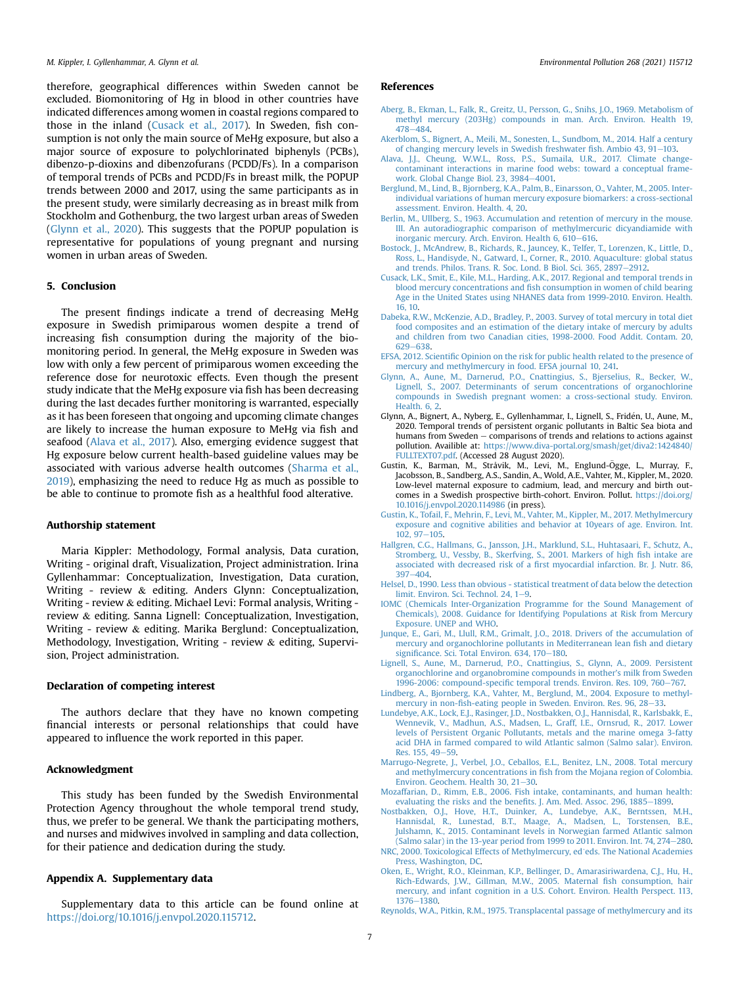therefore, geographical differences within Sweden cannot be excluded. Biomonitoring of Hg in blood in other countries have indicated differences among women in coastal regions compared to those in the inland [\(Cusack et al., 2017\)](#page-6-16). In Sweden, fish consumption is not only the main source of MeHg exposure, but also a major source of exposure to polychlorinated biphenyls (PCBs), dibenzo-p-dioxins and dibenzofurans (PCDD/Fs). In a comparison of temporal trends of PCBs and PCDD/Fs in breast milk, the POPUP trends between 2000 and 2017, using the same participants as in the present study, were similarly decreasing as in breast milk from Stockholm and Gothenburg, the two largest urban areas of Sweden ([Glynn et al., 2020\)](#page-6-25). This suggests that the POPUP population is representative for populations of young pregnant and nursing women in urban areas of Sweden.

# 5. Conclusion

The present findings indicate a trend of decreasing MeHg exposure in Swedish primiparous women despite a trend of increasing fish consumption during the majority of the biomonitoring period. In general, the MeHg exposure in Sweden was low with only a few percent of primiparous women exceeding the reference dose for neurotoxic effects. Even though the present study indicate that the MeHg exposure via fish has been decreasing during the last decades further monitoring is warranted, especially as it has been foreseen that ongoing and upcoming climate changes are likely to increase the human exposure to MeHg via fish and seafood ([Alava et al., 2017\)](#page-6-10). Also, emerging evidence suggest that Hg exposure below current health-based guideline values may be associated with various adverse health outcomes [\(Sharma et al.,](#page-7-6) [2019\)](#page-7-6), emphasizing the need to reduce Hg as much as possible to be able to continue to promote fish as a healthful food alterative.

# Authorship statement

Maria Kippler: Methodology, Formal analysis, Data curation, Writing - original draft, Visualization, Project administration. Irina Gyllenhammar: Conceptualization, Investigation, Data curation, Writing - review & editing. Anders Glynn: Conceptualization, Writing - review & editing. Michael Levi: Formal analysis, Writing review & editing. Sanna Lignell: Conceptualization, Investigation, Writing - review & editing. Marika Berglund: Conceptualization, Methodology, Investigation, Writing - review & editing, Supervision, Project administration.

## Declaration of competing interest

The authors declare that they have no known competing financial interests or personal relationships that could have appeared to influence the work reported in this paper.

# Acknowledgment

This study has been funded by the Swedish Environmental Protection Agency throughout the whole temporal trend study, thus, we prefer to be general. We thank the participating mothers, and nurses and midwives involved in sampling and data collection, for their patience and dedication during the study.

# Appendix A. Supplementary data

Supplementary data to this article can be found online at <https://doi.org/10.1016/j.envpol.2020.115712>.

#### References

- <span id="page-6-2"></span>[Aberg, B., Ekman, L., Falk, R., Greitz, U., Persson, G., Snihs, J.O., 1969. Metabolism of](http://refhub.elsevier.com/S0269-7491(20)36401-0/sref1) [methyl mercury \(203Hg\) compounds in man. Arch. Environ. Health 19,](http://refhub.elsevier.com/S0269-7491(20)36401-0/sref1) [478](http://refhub.elsevier.com/S0269-7491(20)36401-0/sref1)-[484](http://refhub.elsevier.com/S0269-7491(20)36401-0/sref1).
- <span id="page-6-22"></span>[Akerblom, S., Bignert, A., Meili, M., Sonesten, L., Sundbom, M., 2014. Half a century](http://refhub.elsevier.com/S0269-7491(20)36401-0/sref2) [of changing mercury levels in Swedish freshwater](http://refhub.elsevier.com/S0269-7491(20)36401-0/sref2) fish. Ambio 43, 91-[103.](http://refhub.elsevier.com/S0269-7491(20)36401-0/sref2)
- <span id="page-6-10"></span>[Alava, J.J., Cheung, W.W.L., Ross, P.S., Sumaila, U.R., 2017. Climate change](http://refhub.elsevier.com/S0269-7491(20)36401-0/sref3)[contaminant interactions in marine food webs: toward a conceptual frame](http://refhub.elsevier.com/S0269-7491(20)36401-0/sref3)work. Global Change Biol.  $23, 3984-4001$ .
- <span id="page-6-7"></span>[Berglund, M., Lind, B., Bjornberg, K.A., Palm, B., Einarsson, O., Vahter, M., 2005. Inter](http://refhub.elsevier.com/S0269-7491(20)36401-0/sref4)[individual variations of human mercury exposure biomarkers: a cross-sectional](http://refhub.elsevier.com/S0269-7491(20)36401-0/sref4) [assessment. Environ. Health. 4, 20.](http://refhub.elsevier.com/S0269-7491(20)36401-0/sref4)
- <span id="page-6-3"></span>[Berlin, M., Ullberg, S., 1963. Accumulation and retention of mercury in the mouse.](http://refhub.elsevier.com/S0269-7491(20)36401-0/sref5) [III. An autoradiographic comparison of methylmercuric dicyandiamide with](http://refhub.elsevier.com/S0269-7491(20)36401-0/sref5) [inorganic mercury. Arch. Environ. Health 6, 610](http://refhub.elsevier.com/S0269-7491(20)36401-0/sref5)-[616.](http://refhub.elsevier.com/S0269-7491(20)36401-0/sref5)
- <span id="page-6-17"></span>[Bostock, J., McAndrew, B., Richards, R., Jauncey, K., Telfer, T., Lorenzen, K., Little, D.,](http://refhub.elsevier.com/S0269-7491(20)36401-0/sref6) [Ross, L., Handisyde, N., Gatward, I., Corner, R., 2010. Aquaculture: global status](http://refhub.elsevier.com/S0269-7491(20)36401-0/sref6) [and trends. Philos. Trans. R. Soc. Lond. B Biol. Sci. 365, 2897](http://refhub.elsevier.com/S0269-7491(20)36401-0/sref6)-[2912](http://refhub.elsevier.com/S0269-7491(20)36401-0/sref6).
- <span id="page-6-16"></span>[Cusack, L.K., Smit, E., Kile, M.L., Harding, A.K., 2017. Regional and temporal trends in](http://refhub.elsevier.com/S0269-7491(20)36401-0/sref7) blood mercury concentrations and fi[sh consumption in women of child bearing](http://refhub.elsevier.com/S0269-7491(20)36401-0/sref7) [Age in the United States using NHANES data from 1999-2010. Environ. Health.](http://refhub.elsevier.com/S0269-7491(20)36401-0/sref7) [16, 10](http://refhub.elsevier.com/S0269-7491(20)36401-0/sref7).
- <span id="page-6-24"></span>[Dabeka, R.W., McKenzie, A.D., Bradley, P., 2003. Survey of total mercury in total diet](http://refhub.elsevier.com/S0269-7491(20)36401-0/sref8) [food composites and an estimation of the dietary intake of mercury by adults](http://refhub.elsevier.com/S0269-7491(20)36401-0/sref8) [and children from two Canadian cities, 1998-2000. Food Addit. Contam. 20,](http://refhub.elsevier.com/S0269-7491(20)36401-0/sref8) [629](http://refhub.elsevier.com/S0269-7491(20)36401-0/sref8)-[638](http://refhub.elsevier.com/S0269-7491(20)36401-0/sref8)
- <span id="page-6-1"></span>EFSA, 2012. Scientifi[c Opinion on the risk for public health related to the presence of](http://refhub.elsevier.com/S0269-7491(20)36401-0/sref9) [mercury and methylmercury in food. EFSA journal 10, 241.](http://refhub.elsevier.com/S0269-7491(20)36401-0/sref9)
- <span id="page-6-11"></span>[Glynn, A., Aune, M., Darnerud, P.O., Cnattingius, S., Bjerselius, R., Becker, W.,](http://refhub.elsevier.com/S0269-7491(20)36401-0/sref10) [Lignell, S., 2007. Determinants of serum concentrations of organochlorine](http://refhub.elsevier.com/S0269-7491(20)36401-0/sref10) [compounds in Swedish pregnant women: a cross-sectional study. Environ.](http://refhub.elsevier.com/S0269-7491(20)36401-0/sref10) [Health. 6, 2.](http://refhub.elsevier.com/S0269-7491(20)36401-0/sref10)
- <span id="page-6-25"></span>Glynn, A., Bignert, A., Nyberg, E., Gyllenhammar, I., Lignell, S., Friden, U., Aune, M., 2020. Temporal trends of persistent organic pollutants in Baltic Sea biota and humans from Sweden  $-$  comparisons of trends and relations to actions against pollution. Availible at: [https://www.diva-portal.org/smash/get/diva2:1424840/](https://www.diva-portal.org/smash/get/diva2:1424840/FULLTEXT07.pdf) [FULLTEXT07.pdf.](https://www.diva-portal.org/smash/get/diva2:1424840/FULLTEXT07.pdf) (Accessed 28 August 2020).
- <span id="page-6-20"></span>Gustin, K., Barman, M., Stråvik, M., Levi, M., Englund-Ögge, L., Murray, F., Jacobsson, B., Sandberg, A.S., Sandin, A., Wold, A.E., Vahter, M., Kippler, M., 2020. Low-level maternal exposure to cadmium, lead, and mercury and birth outcomes in a Swedish prospective birth-cohort. Environ. Pollut. [https://doi.org/](https://doi.org/10.1016/j.envpol.2020.114986) [10.1016/j.envpol.2020.114986](https://doi.org/10.1016/j.envpol.2020.114986) (in press).
- <span id="page-6-13"></span>[Gustin, K., Tofail, F., Mehrin, F., Levi, M., Vahter, M., Kippler, M., 2017. Methylmercury](http://refhub.elsevier.com/S0269-7491(20)36401-0/sref13) [exposure and cognitive abilities and behavior at 10years of age. Environ. Int.](http://refhub.elsevier.com/S0269-7491(20)36401-0/sref13)  $102.97 - 105.$  $102.97 - 105.$  $102.97 - 105.$
- <span id="page-6-6"></span>[Hallgren, C.G., Hallmans, G., Jansson, J.H., Marklund, S.L., Huhtasaari, F., Schutz, A.,](http://refhub.elsevier.com/S0269-7491(20)36401-0/sref14) [Stromberg, U., Vessby, B., Skerfving, S., 2001. Markers of high](http://refhub.elsevier.com/S0269-7491(20)36401-0/sref14) fish intake are associated with decreased risk of a fi[rst myocardial infarction. Br. J. Nutr. 86,](http://refhub.elsevier.com/S0269-7491(20)36401-0/sref14) [397](http://refhub.elsevier.com/S0269-7491(20)36401-0/sref14)-[404.](http://refhub.elsevier.com/S0269-7491(20)36401-0/sref14)
- <span id="page-6-14"></span>[Helsel, D., 1990. Less than obvious - statistical treatment of data below the detection](http://refhub.elsevier.com/S0269-7491(20)36401-0/sref15) [limit. Environ. Sci. Technol. 24, 1](http://refhub.elsevier.com/S0269-7491(20)36401-0/sref15)-[9](http://refhub.elsevier.com/S0269-7491(20)36401-0/sref15).
- <span id="page-6-15"></span>[IOMC \(Chemicals Inter-Organization Programme for the Sound Management of](http://refhub.elsevier.com/S0269-7491(20)36401-0/sref16) [Chemicals\), 2008. Guidance for Identifying Populations at Risk from Mercury](http://refhub.elsevier.com/S0269-7491(20)36401-0/sref16) [Exposure. UNEP and WHO](http://refhub.elsevier.com/S0269-7491(20)36401-0/sref16).
- <span id="page-6-21"></span>[Junque, E., Gari, M., Llull, R.M., Grimalt, J.O., 2018. Drivers of the accumulation of](http://refhub.elsevier.com/S0269-7491(20)36401-0/sref17) [mercury and organochlorine pollutants in Mediterranean lean](http://refhub.elsevier.com/S0269-7491(20)36401-0/sref17) fish and dietary signifi[cance. Sci. Total Environ. 634, 170](http://refhub.elsevier.com/S0269-7491(20)36401-0/sref17)-[180](http://refhub.elsevier.com/S0269-7491(20)36401-0/sref17).
- <span id="page-6-12"></span>[Lignell, S., Aune, M., Darnerud, P.O., Cnattingius, S., Glynn, A., 2009. Persistent](http://refhub.elsevier.com/S0269-7491(20)36401-0/sref18) [organochlorine and organobromine compounds in mother](http://refhub.elsevier.com/S0269-7491(20)36401-0/sref18)'s milk from Sweden 1996-2006: compound-specifi[c temporal trends. Environ. Res. 109, 760](http://refhub.elsevier.com/S0269-7491(20)36401-0/sref18)-[767.](http://refhub.elsevier.com/S0269-7491(20)36401-0/sref18)
- <span id="page-6-8"></span>[Lindberg, A., Bjornberg, K.A., Vahter, M., Berglund, M., 2004. Exposure to methyl](http://refhub.elsevier.com/S0269-7491(20)36401-0/sref19)mercury in non-fi[sh-eating people in Sweden. Environ. Res. 96, 28](http://refhub.elsevier.com/S0269-7491(20)36401-0/sref19)-[33.](http://refhub.elsevier.com/S0269-7491(20)36401-0/sref19)
- <span id="page-6-18"></span>[Lundebye, A.K., Lock, E.J., Rasinger, J.D., Nostbakken, O.J., Hannisdal, R., Karlsbakk, E.,](http://refhub.elsevier.com/S0269-7491(20)36401-0/sref20) [Wennevik, V., Madhun, A.S., Madsen, L., Graff, I.E., Ornsrud, R., 2017. Lower](http://refhub.elsevier.com/S0269-7491(20)36401-0/sref20) [levels of Persistent Organic Pollutants, metals and the marine omega 3-fatty](http://refhub.elsevier.com/S0269-7491(20)36401-0/sref20) [acid DHA in farmed compared to wild Atlantic salmon \(Salmo salar\). Environ.](http://refhub.elsevier.com/S0269-7491(20)36401-0/sref20) [Res. 155, 49](http://refhub.elsevier.com/S0269-7491(20)36401-0/sref20)-[59](http://refhub.elsevier.com/S0269-7491(20)36401-0/sref20).
- <span id="page-6-9"></span>[Marrugo-Negrete, J., Verbel, J.O., Ceballos, E.L., Benitez, L.N., 2008. Total mercury](http://refhub.elsevier.com/S0269-7491(20)36401-0/sref21) and methylmercury concentrations in fi[sh from the Mojana region of Colombia.](http://refhub.elsevier.com/S0269-7491(20)36401-0/sref21) [Environ. Geochem. Health 30, 21](http://refhub.elsevier.com/S0269-7491(20)36401-0/sref21)-[30](http://refhub.elsevier.com/S0269-7491(20)36401-0/sref21).
- <span id="page-6-0"></span>[Mozaffarian, D., Rimm, E.B., 2006. Fish intake, contaminants, and human health:](http://refhub.elsevier.com/S0269-7491(20)36401-0/sref22) [evaluating the risks and the bene](http://refhub.elsevier.com/S0269-7491(20)36401-0/sref22)fits. J. Am. Med. Assoc. 296, 1885-[1899.](http://refhub.elsevier.com/S0269-7491(20)36401-0/sref22)
- <span id="page-6-19"></span>[Nostbakken, O.J., Hove, H.T., Duinker, A., Lundebye, A.K., Berntssen, M.H.,](http://refhub.elsevier.com/S0269-7491(20)36401-0/sref23) [Hannisdal, R., Lunestad, B.T., Maage, A., Madsen, L., Torstensen, B.E.,](http://refhub.elsevier.com/S0269-7491(20)36401-0/sref23) [Julshamn, K., 2015. Contaminant levels in Norwegian farmed Atlantic salmon](http://refhub.elsevier.com/S0269-7491(20)36401-0/sref23) [\(Salmo salar\) in the 13-year period from 1999 to 2011. Environ. Int. 74, 274](http://refhub.elsevier.com/S0269-7491(20)36401-0/sref23)-[280](http://refhub.elsevier.com/S0269-7491(20)36401-0/sref23).
- <span id="page-6-5"></span>[NRC, 2000. Toxicological Effects of Methylmercury, ed](http://refhub.elsevier.com/S0269-7491(20)36401-0/sref24)^[eds. The National Academies](http://refhub.elsevier.com/S0269-7491(20)36401-0/sref24) [Press, Washington, DC.](http://refhub.elsevier.com/S0269-7491(20)36401-0/sref24)
- <span id="page-6-23"></span>[Oken, E., Wright, R.O., Kleinman, K.P., Bellinger, D., Amarasiriwardena, C.J., Hu, H.,](http://refhub.elsevier.com/S0269-7491(20)36401-0/sref25) [Rich-Edwards, J.W., Gillman, M.W., 2005. Maternal](http://refhub.elsevier.com/S0269-7491(20)36401-0/sref25) fish consumption, hair [mercury, and infant cognition in a U.S. Cohort. Environ. Health Perspect. 113,](http://refhub.elsevier.com/S0269-7491(20)36401-0/sref25) [1376](http://refhub.elsevier.com/S0269-7491(20)36401-0/sref25)-[1380](http://refhub.elsevier.com/S0269-7491(20)36401-0/sref25).
- <span id="page-6-4"></span>[Reynolds, W.A., Pitkin, R.M., 1975. Transplacental passage of methylmercury and its](http://refhub.elsevier.com/S0269-7491(20)36401-0/sref26)